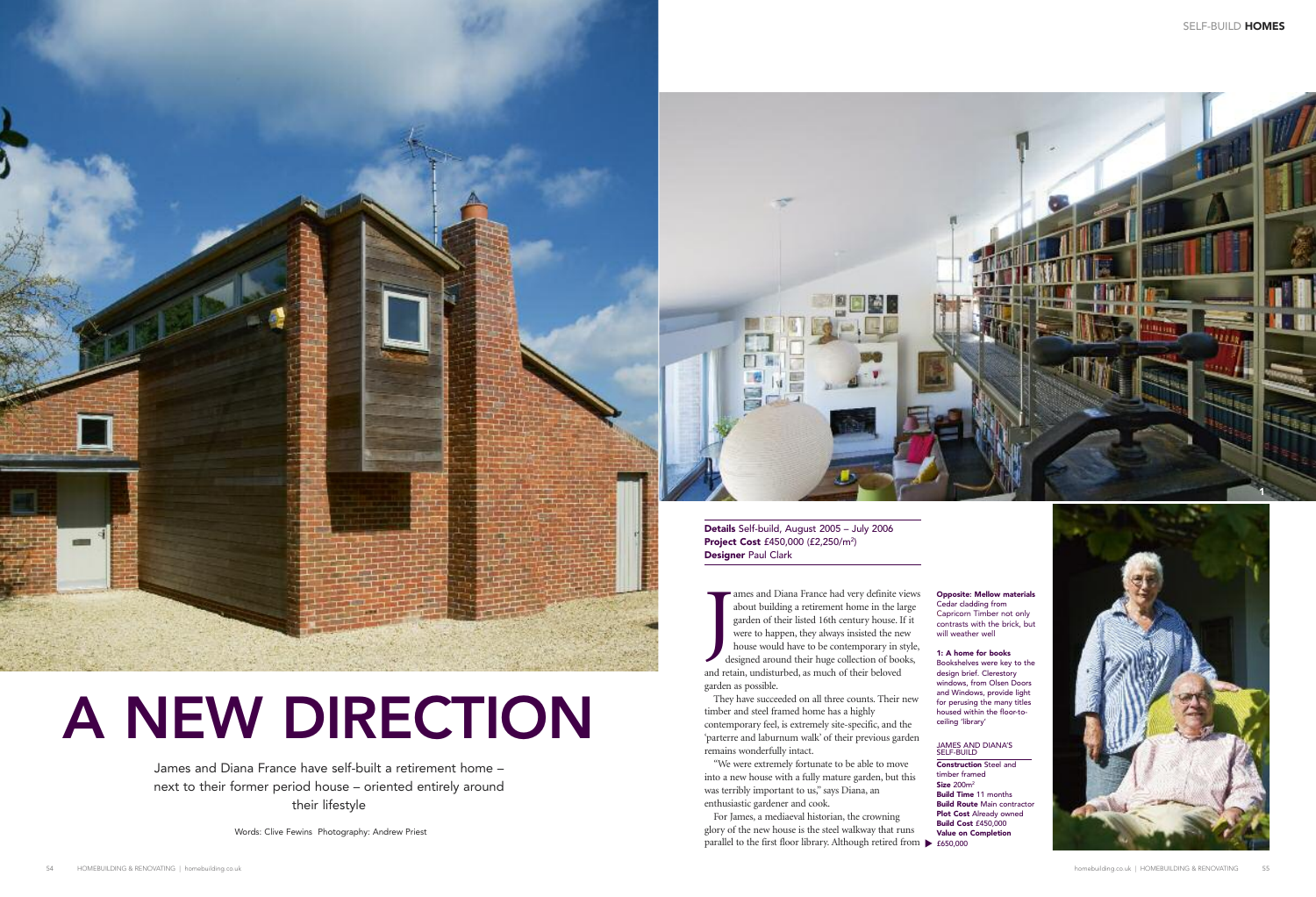and retain, undisturbed, as much of their beloved

garden as possible.

They have succeeded on all three counts. Their new

timber and steel framed home has a highly

was terribly important to us," says Diana, an

contemporary feel, is extremely site-specific, and the 'parterre and laburnum walk' of their previous garden

remains wonderfully intact.

"We were extremely fortunate to be able to move into a new house with a fully mature garden, but this

parallel to the first floor library. Although retired from  $\triangleright$  £650,000 **Construction** Steel and timber framed **Size** 200m2 **Build Time** 11 months **Build Route** Main contractor **Plot Cost** Already owned **Build Cost** £450,000 **Value on Completion**

enthusiastic gardener and cook.

For James, a mediaeval historian, the crowning glory of the new house is the steel walkway that runs



Words: Clive Fewins Photography: Andrew Priest

#### JAMES AND DIANA'S SELF-BUILD

James and Diana France have self-built a retirement home – next to their former period house – oriented entirely around their lifestyle

# **A NEW DIRECTION**



Cedar cladding from will weather well

**1: A home for books** design brief. Clerestory ceiling 'library'

Bookshelves were key to the windows, from Olsen Doors and Windows, provide light for perusing the many titles housed within the floor-to-



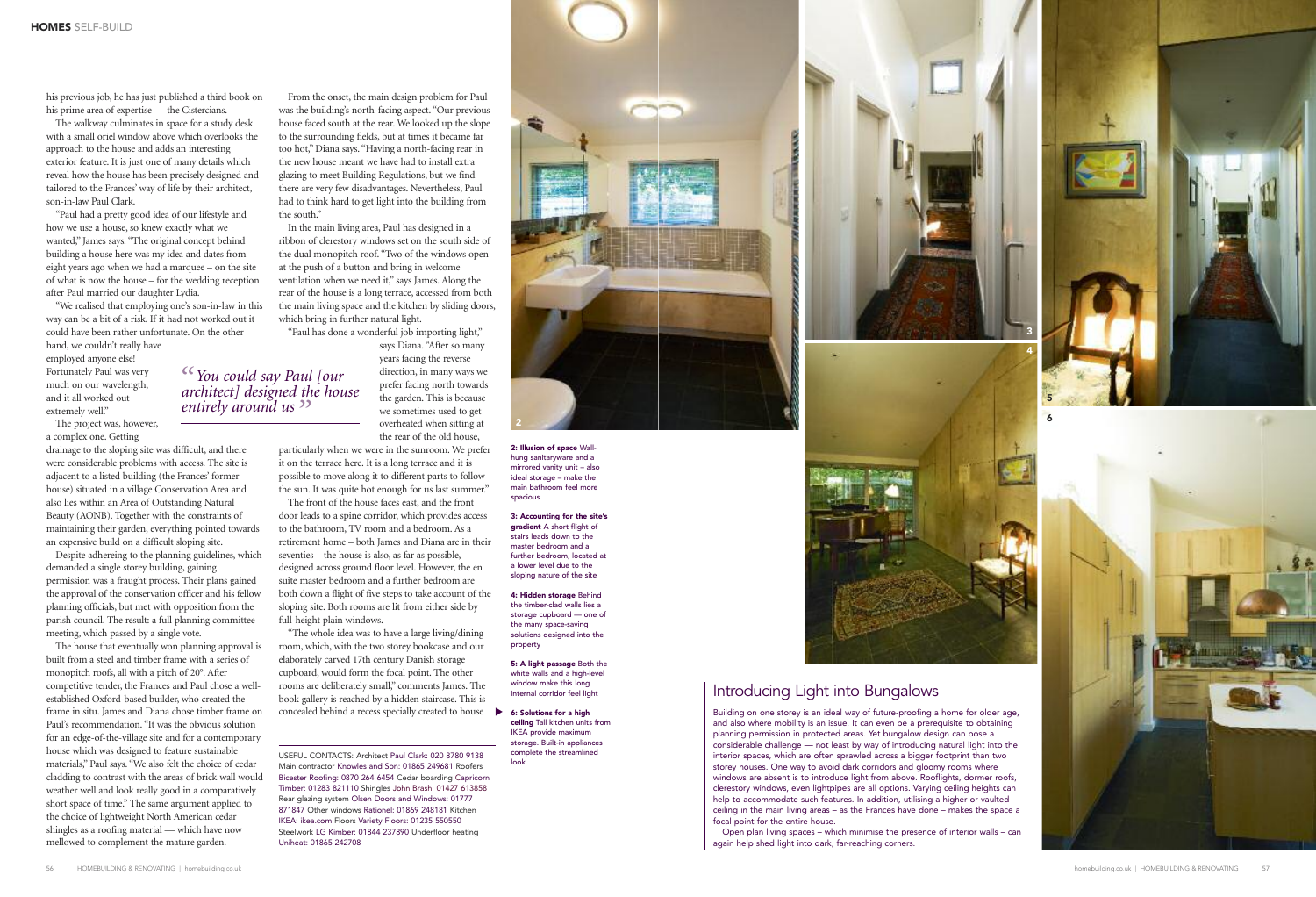his previous job, he has just published a third book on his prime area of expertise — the Cistercians.

The walkway culminates in space for a study desk with a small oriel window above which overlooks the approach to the house and adds an interesting exterior feature. It is just one of many details which reveal how the house has been precisely designed and tailored to the Frances' way of life by their architect, son-in-law Paul Clark.

"Paul had a pretty good idea of our lifestyle and how we use a house, so knew exactly what we wanted," James says. "The original concept behind building a house here was my idea and dates from eight years ago when we had a marquee – on the site of what is now the house – for the wedding reception after Paul married our daughter Lydia.

"We realised that employing one's son-in-law in this way can be a bit of a risk. If it had not worked out it could have been rather unfortunate. On the other

hand, we couldn't really have employed anyone else! Fortunately Paul was very much on our wavelength, and it all worked out extremely well."

The project was, however, a complex one. Getting

drainage to the sloping site was difficult, and there were considerable problems with access. The site is adjacent to a listed building (the Frances' former house) situated in a village Conservation Area and also lies within an Area of Outstanding Natural Beauty (AONB). Together with the constraints of maintaining their garden, everything pointed towards an expensive build on a difficult sloping site.

Despite adhereing to the planning guidelines, which demanded a single storey building, gaining permission was a fraught process. Their plans gained the approval of the conservation officer and his fellow planning officials, but met with opposition from the parish council. The result: a full planning committee meeting, which passed by a single vote.

"The whole idea was to have a large living/dining room, which, with the two storey bookcase and our elaborately carved 17th century Danish storage cupboard, would form the focal point. The other rooms are deliberately small," comments James. The book gallery is reached by a hidden staircase. This is concealed behind a recess specially created to house ▶

The house that eventually won planning approval is built from a steel and timber frame with a series of monopitch roofs, all with a pitch of 20°. After competitive tender, the Frances and Paul chose a wellestablished Oxford-based builder, who created the frame in situ. James and Diana chose timber frame on Paul's recommendation. "It was the obvious solution for an edge-of-the-village site and for a contemporary house which was designed to feature sustainable materials," Paul says. "We also felt the choice of cedar cladding to contrast with the areas of brick wall would weather well and look really good in a comparatively short space of time." The same argument applied to the choice of lightweight North American cedar shingles as a roofing material — which have now mellowed to complement the mature garden.

From the onset, the main design problem for Paul was the building's north-facing aspect. "Our previous house faced south at the rear. We looked up the slope to the surrounding fields, but at times it became far too hot," Diana says. "Having a north-facing rear in the new house meant we have had to install extra glazing to meet Building Regulations, but we find there are very few disadvantages. Nevertheless, Paul had to think hard to get light into the building from the south."

In the main living area, Paul has designed in a ribbon of clerestory windows set on the south side of the dual monopitch roof. "Two of the windows open at the push of a button and bring in welcome ventilation when we need it," says James. Along the rear of the house is a long terrace, accessed from both the main living space and the kitchen by sliding doors, which bring in further natural light.

"Paul has done a wonderful job importing light," says Diana. "After so many years facing the reverse

direction, in many ways we prefer facing north towards the garden. This is because we sometimes used to get overheated when sitting at the rear of the old house,

particularly when we were in the sunroom. We prefer it on the terrace here. It is a long terrace and it is possible to move along it to different parts to follow the sun. It was quite hot enough for us last summer."

The front of the house faces east, and the front door leads to a spine corridor, which provides access to the bathroom, TV room and a bedroom. As a retirement home – both James and Diana are in their seventies – the house is also, as far as possible, designed across ground floor level. However, the en suite master bedroom and a further bedroom are both down a flight of five steps to take account of the sloping site. Both rooms are lit from either side by full-height plain windows.

USEFUL CONTACTS: Architect Paul Clark: 020 8780 9138 Main contractor Knowles and Son: 01865 249681 Roofers Bicester Roofing: 0870 264 6454 Cedar boarding Capricorn Timber: 01283 821110 Shingles John Brash: 01427 613858 Rear glazing system Olsen Doors and Windows: 01777 871847 Other windows Rationel: 01869 248181 Kitchen IKEA: ikea.com Floors Variety Floors: 01235 550550 Steelwork LG Kimber: 01844 237890 Underfloor heating Uniheat: 01865 242708

### Introducing Light into Bungalows

Building on one storey is an ideal way of future-proofing a home for older age, and also where mobility is an issue. It can even be a prerequisite to obtaining planning permission in protected areas. Yet bungalow design can pose a considerable challenge — not least by way of introducing natural light into the interior spaces, which are often sprawled across a bigger footprint than two storey houses. One way to avoid dark corridors and gloomy rooms where windows are absent is to introduce light from above. Rooflights, dormer roofs, clerestory windows, even lightpipes are all options. Varying ceiling heights can help to accommodate such features. In addition, utilising a higher or vaulted ceiling in the main living areas – as the Frances have done – makes the space a focal point for the entire house.

Open plan living spaces – which minimise the presence of interior walls – can again help shed light into dark, far-reaching corners.

## *" You could say Paul [our " entirely around us architect] designed the house*

**2: Illusion of space** Wallhung sanitaryware and a mirrored vanity unit – also ideal storage – make the main bathroom feel more spacious

**3: Accounting for the site's gradient** A short flight of stairs leads down to the master bedroom and a further bedroom, located at a lower level due to the sloping nature of the site

**4: Hidden storage** Behind the timber-clad walls lies a storage cupboard — one of the many space-saving solutions designed into the property

**5: A light passage** Both the white walls and a high-level window make this long internal corridor feel light

**6: Solutions for a high ceiling** Tall kitchen units from IKEA provide maximum storage. Built-in appliances complete the streamlined look